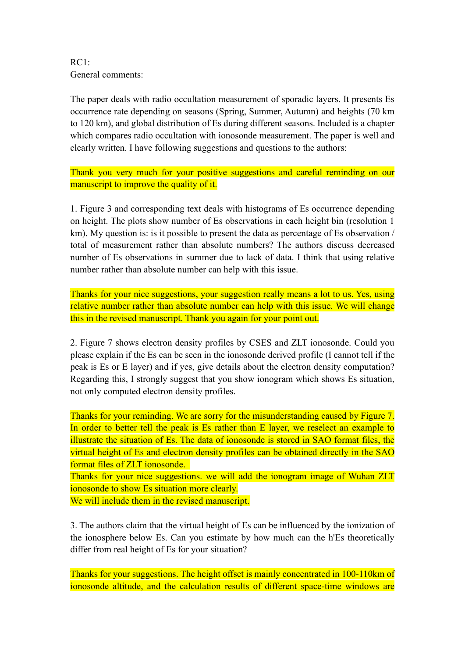RC1: General comments:

The paper deals with radio occultation measurement of sporadic layers. It presents Es occurrence rate depending on seasons (Spring, Summer, Autumn) and heights (70 km to 120 km), and global distribution of Es during different seasons. Included is a chapter which compares radio occultation with ionosonde measurement. The paper is well and clearly written. I have following suggestions and questions to the authors:

Thank you very much for your positive suggestions and careful reminding on our manuscript to improve the quality of it.

1. Figure 3 and corresponding text deals with histograms of Es occurrence depending on height. The plots show number of Es observations in each height bin (resolution 1 km). My question is: is it possible to present the data as percentage of Es observation / total of measurement rather than absolute numbers? The authors discuss decreased number of Es observations in summer due to lack of data. I think that using relative number rather than absolute number can help with this issue.

Thanks for your nice suggestions, your suggestion really means a lot to us. Yes, using relative number rather than absolute number can help with this issue. We will change this in the revised manuscript. Thank you again for your point out.

2. Figure 7 shows electron density profiles by CSES and ZLT ionosonde. Could you please explain if the Es can be seen in the ionosonde derived profile (I cannot tell if the peak is Es or E layer) and if yes, give details about the electron density computation? Regarding this, I strongly suggest that you show ionogram which shows Es situation, not only computed electron density profiles.

Thanks for your reminding. We are sorry for the misunderstanding caused by Figure 7. In order to better tell the peak is Es rather than E layer, we reselect an example to illustrate the situation of Es. The data of ionosonde is stored in SAO format files, the virtual height of Es and electron density profiles can be obtained directly in the SAO format files of ZLT ionosonde.

Thanks for your nice suggestions. we will add the ionogram image of Wuhan ZLT ionosonde to show Es situation more clearly.

We will include them in the revised manuscript.

3. The authors claim that the virtual height of Es can be influenced by the ionization of the ionosphere below Es. Can you estimate by how much can the h'Es theoretically differ from real height of Es for your situation?

Thanks for your suggestions. The height offset is mainly concentrated in 100-110km of ionosonde altitude, and the calculation results of different space-time windows are